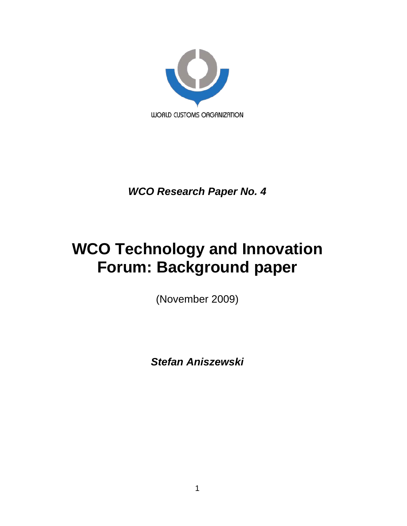

*WCO Research Paper No. 4*

# **WCO Technology and Innovation Forum: Background paper**

(November 2009)

*Stefan Aniszewski*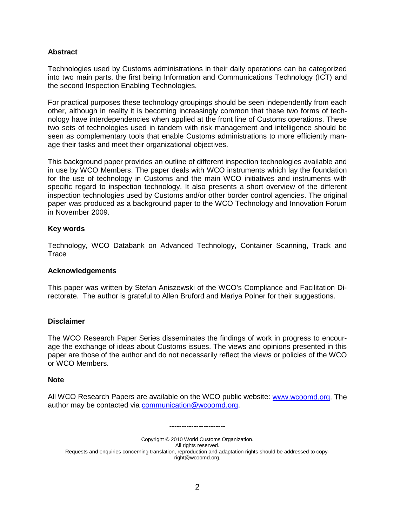## **Abstract**

Technologies used by Customs administrations in their daily operations can be categorized into two main parts, the first being Information and Communications Technology (ICT) and the second Inspection Enabling Technologies.

For practical purposes these technology groupings should be seen independently from each other, although in reality it is becoming increasingly common that these two forms of technology have interdependencies when applied at the front line of Customs operations. These two sets of technologies used in tandem with risk management and intelligence should be seen as complementary tools that enable Customs administrations to more efficiently manage their tasks and meet their organizational objectives.

This background paper provides an outline of different inspection technologies available and in use by WCO Members. The paper deals with WCO instruments which lay the foundation for the use of technology in Customs and the main WCO initiatives and instruments with specific regard to inspection technology. It also presents a short overview of the different inspection technologies used by Customs and/or other border control agencies. The original paper was produced as a background paper to the WCO Technology and Innovation Forum in November 2009.

#### **Key words**

Technology, WCO Databank on Advanced Technology, Container Scanning, Track and **Trace** 

#### **Acknowledgements**

This paper was written by Stefan Aniszewski of the WCO's Compliance and Facilitation Directorate. The author is grateful to Allen Bruford and Mariya Polner for their suggestions.

#### **Disclaimer**

The WCO Research Paper Series disseminates the findings of work in progress to encourage the exchange of ideas about Customs issues. The views and opinions presented in this paper are those of the author and do not necessarily reflect the views or policies of the WCO or WCO Members.

#### **Note**

All WCO Research Papers are available on the WCO public website: [www.wcoomd.org.](http://www.wcoomd.org/) The author may be contacted via [communication@wcoomd.org.](mailto:communication@wcoomd.org)

-----------------------

Copyright © 2010 World Customs Organization. All rights reserved. Requests and enquiries concerning translation, reproduction and adaptation rights should be addressed to copyright@wcoomd.org.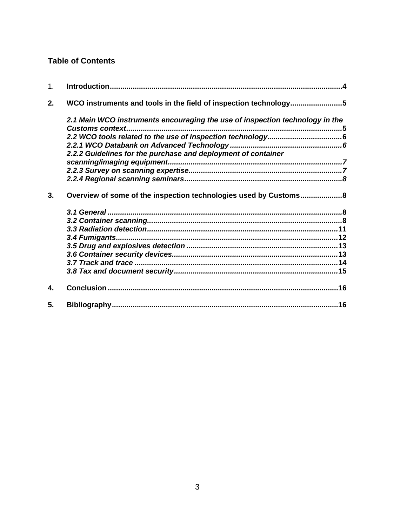# **Table of Contents**

| 1. |                                                                              |  |
|----|------------------------------------------------------------------------------|--|
| 2. | WCO instruments and tools in the field of inspection technology5             |  |
|    | 2.1 Main WCO instruments encouraging the use of inspection technology in the |  |
|    |                                                                              |  |
|    |                                                                              |  |
|    | 2.2.2 Guidelines for the purchase and deployment of container                |  |
|    |                                                                              |  |
|    |                                                                              |  |
|    |                                                                              |  |
| 3. | Overview of some of the inspection technologies used by Customs8             |  |
|    |                                                                              |  |
|    |                                                                              |  |
|    |                                                                              |  |
|    |                                                                              |  |
|    |                                                                              |  |
|    |                                                                              |  |
|    |                                                                              |  |
|    |                                                                              |  |
| 4. |                                                                              |  |
| 5. |                                                                              |  |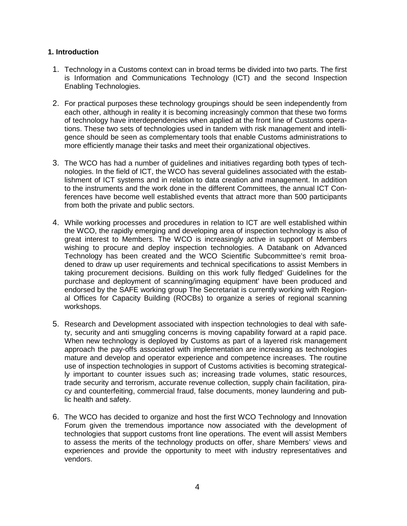## <span id="page-3-0"></span>**1. Introduction**

- 1. Technology in a Customs context can in broad terms be divided into two parts. The first is Information and Communications Technology (ICT) and the second Inspection Enabling Technologies.
- 2. For practical purposes these technology groupings should be seen independently from each other, although in reality it is becoming increasingly common that these two forms of technology have interdependencies when applied at the front line of Customs operations. These two sets of technologies used in tandem with risk management and intelligence should be seen as complementary tools that enable Customs administrations to more efficiently manage their tasks and meet their organizational objectives.
- 3. The WCO has had a number of guidelines and initiatives regarding both types of technologies. In the field of ICT, the WCO has several guidelines associated with the establishment of ICT systems and in relation to data creation and management. In addition to the instruments and the work done in the different Committees, the annual ICT Conferences have become well established events that attract more than 500 participants from both the private and public sectors.
- 4. While working processes and procedures in relation to ICT are well established within the WCO, the rapidly emerging and developing area of inspection technology is also of great interest to Members. The WCO is increasingly active in support of Members wishing to procure and deploy inspection technologies. A Databank on Advanced Technology has been created and the WCO Scientific Subcommittee's remit broadened to draw up user requirements and technical specifications to assist Members in taking procurement decisions. Building on this work fully fledged' Guidelines for the purchase and deployment of scanning/imaging equipment' have been produced and endorsed by the SAFE working group The Secretariat is currently working with Regional Offices for Capacity Building (ROCBs) to organize a series of regional scanning workshops.
- 5. Research and Development associated with inspection technologies to deal with safety, security and anti smuggling concerns is moving capability forward at a rapid pace. When new technology is deployed by Customs as part of a layered risk management approach the pay-offs associated with implementation are increasing as technologies mature and develop and operator experience and competence increases. The routine use of inspection technologies in support of Customs activities is becoming strategically important to counter issues such as; increasing trade volumes, static resources, trade security and terrorism, accurate revenue collection, supply chain facilitation, piracy and counterfeiting, commercial fraud, false documents, money laundering and public health and safety.
- 6. The WCO has decided to organize and host the first WCO Technology and Innovation Forum given the tremendous importance now associated with the development of technologies that support customs front line operations. The event will assist Members to assess the merits of the technology products on offer, share Members' views and experiences and provide the opportunity to meet with industry representatives and vendors.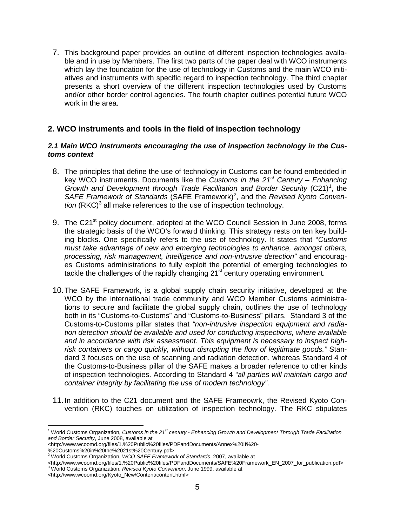7. This background paper provides an outline of different inspection technologies available and in use by Members. The first two parts of the paper deal with WCO instruments which lay the foundation for the use of technology in Customs and the main WCO initiatives and instruments with specific regard to inspection technology. The third chapter presents a short overview of the different inspection technologies used by Customs and/or other border control agencies. The fourth chapter outlines potential future WCO work in the area.

## <span id="page-4-0"></span>**2. WCO instruments and tools in the field of inspection technology**

#### <span id="page-4-1"></span>*2.1 Main WCO instruments encouraging the use of inspection technology in the Customs context*

- 8. The principles that define the use of technology in Customs can be found embedded in key WCO instruments. Documents like the *Customs in the 21st Century – Enhancing*  Growth and Development through Trade Facilitation and Border Security (C2[1](#page-4-2))<sup>1</sup>, the *SAFE Framework of Standards* (SAFE Framework) [2](#page-4-3) , and the *Revised Kyoto Conven all make references to the use of inspection technology.*
- 9. The C21<sup>st</sup> policy document, adopted at the WCO Council Session in June 2008, forms the strategic basis of the WCO's forward thinking. This strategy rests on ten key building blocks. One specifically refers to the use of technology. It states that "*Customs must take advantage of new and emerging technologies to enhance, amongst others, processing, risk management, intelligence and non-intrusive detection"* and encourages Customs administrations to fully exploit the potential of emerging technologies to tackle the challenges of the rapidly changing 21<sup>st</sup> century operating environment.
- 10.The SAFE Framework, is a global supply chain security initiative, developed at the WCO by the international trade community and WCO Member Customs administrations to secure and facilitate the global supply chain, outlines the use of technology both in its "Customs-to-Customs" and "Customs-to-Business" pillars. Standard 3 of the Customs-to-Customs pillar states that *"non-intrusive inspection equipment and radiation detection should be available and used for conducting inspections, where available and in accordance with risk assessment. This equipment is necessary to inspect highrisk containers or cargo quickly, without disrupting the flow of legitimate goods."* Standard 3 focuses on the use of scanning and radiation detection, whereas Standard 4 of the Customs-to-Business pillar of the SAFE makes a broader reference to other kinds of inspection technologies. According to Standard 4 *"all parties will maintain cargo and container integrity by facilitating the use of modern technology"*.
- 11.In addition to the C21 document and the SAFE Frameowrk, the Revised Kyoto Convention (RKC) touches on utilization of inspection technology. The RKC stipulates

<span id="page-4-2"></span> <sup>1</sup> World Customs Organization, *Customs in the 21st century - Enhancing Growth and Development Through Trade Facilitation and Border Security*, June 2008, available at

<sup>&</sup>lt;http://www.wcoomd.org/files/1.%20Public%20files/PDFandDocuments/Annex%20II%20-

<sup>%20</sup>Customs%20in%20the%2021st%20Century.pdf>

<span id="page-4-3"></span><sup>2</sup> World Customs Organization, *WCO SAFE Framework of Standards*, 2007, available at

<sup>&</sup>lt;http://www.wcoomd.org/files/1.%20Public%20files/PDFandDocuments/SAFE%20Framework\_EN\_2007\_for\_publication.pdf> <sup>3</sup> World Customs Organization, *Revised Kyoto Convention*, June 1999, available at

<span id="page-4-4"></span><sup>&</sup>lt;http://www.wcoomd.org/Kyoto\_New/Content/content.html>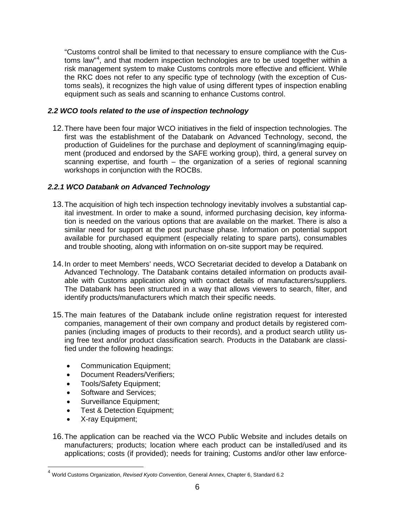"Customs control shall be limited to that necessary to ensure compliance with the Cus-toms law"<sup>[4](#page-5-2)</sup>, and that modern inspection technologies are to be used together within a risk management system to make Customs controls more effective and efficient. While the RKC does not refer to any specific type of technology (with the exception of Customs seals), it recognizes the high value of using different types of inspection enabling equipment such as seals and scanning to enhance Customs control.

## <span id="page-5-0"></span>*2.2 WCO tools related to the use of inspection technology*

12.There have been four major WCO initiatives in the field of inspection technologies. The first was the establishment of the Databank on Advanced Technology, second, the production of Guidelines for the purchase and deployment of scanning/imaging equipment (produced and endorsed by the SAFE working group), third, a general survey on scanning expertise, and fourth – the organization of a series of regional scanning workshops in conjunction with the ROCBs.

## <span id="page-5-1"></span>*2.2.1 WCO Databank on Advanced Technology*

- 13.The acquisition of high tech inspection technology inevitably involves a substantial capital investment. In order to make a sound, informed purchasing decision, key information is needed on the various options that are available on the market. There is also a similar need for support at the post purchase phase. Information on potential support available for purchased equipment (especially relating to spare parts), consumables and trouble shooting, along with information on on-site support may be required.
- 14.In order to meet Members' needs, WCO Secretariat decided to develop a Databank on Advanced Technology. The Databank contains detailed information on products available with Customs application along with contact details of manufacturers/suppliers. The Databank has been structured in a way that allows viewers to search, filter, and identify products/manufacturers which match their specific needs.
- 15.The main features of the Databank include online registration request for interested companies, management of their own company and product details by registered companies (including images of products to their records), and a product search utility using free text and/or product classification search. Products in the Databank are classified under the following headings:
	- Communication Equipment;
	- Document Readers/Verifiers;
	- Tools/Safety Equipment;
	- Software and Services:
	- Surveillance Equipment;
	- Test & Detection Equipment:
	- X-ray Equipment;
- 16.The application can be reached via the WCO Public Website and includes details on manufacturers; products; location where each product can be installed/used and its applications; costs (if provided); needs for training; Customs and/or other law enforce-

<span id="page-5-2"></span> <sup>4</sup> World Customs Organization, *Revised Kyoto Convention*, General Annex, Chapter 6, Standard 6.2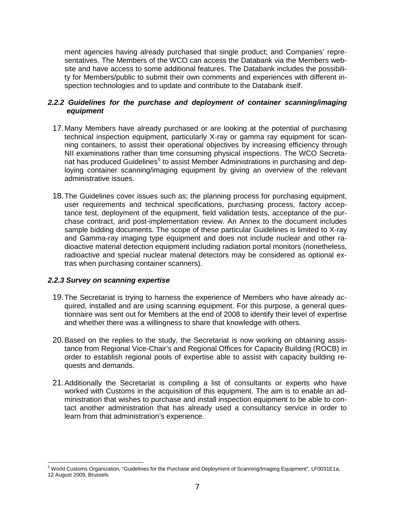ment agencies having already purchased that single product; and Companies' representatives. The Members of the WCO can access the Databank via the Members website and have access to some additional features. The Databank includes the possibility for Members/public to submit their own comments and experiences with different inspection technologies and to update and contribute to the Databank itself.

## <span id="page-6-0"></span>*2.2.2 Guidelines for the purchase and deployment of container scanning/imaging equipment*

- 17.Many Members have already purchased or are looking at the potential of purchasing technical inspection equipment, particularly X-ray or gamma ray equipment for scanning containers, to assist their operational objectives by increasing efficiency through NII examinations rather than time consuming physical inspections. The WCO Secreta-riat has produced Guidelines<sup>[5](#page-6-2)</sup> to assist Member Administrations in purchasing and deploying container scanning/imaging equipment by giving an overview of the relevant administrative issues.
- 18.The Guidelines cover issues such as; the planning process for purchasing equipment, user requirements and technical specifications, purchasing process, factory acceptance test, deployment of the equipment, field validation tests, acceptance of the purchase contract, and post-implementation review. An Annex to the document includes sample bidding documents. The scope of these particular Guidelines is limited to X-ray and Gamma-ray imaging type equipment and does not include nuclear and other radioactive material detection equipment including radiation portal monitors (nonetheless, radioactive and special nuclear material detectors may be considered as optional extras when purchasing container scanners).

## <span id="page-6-1"></span>*2.2.3 Survey on scanning expertise*

- 19.The Secretariat is trying to harness the experience of Members who have already acquired, installed and are using scanning equipment. For this purpose, a general questionnaire was sent out for Members at the end of 2008 to identify their level of expertise and whether there was a willingness to share that knowledge with others.
- 20.Based on the replies to the study, the Secretariat is now working on obtaining assistance from Regional Vice-Chair's and Regional Offices for Capacity Building (ROCB) in order to establish regional pools of expertise able to assist with capacity building requests and demands.
- 21.Additionally the Secretariat is compiling a list of consultants or experts who have worked with Customs in the acquisition of this equipment. The aim is to enable an administration that wishes to purchase and install inspection equipment to be able to contact another administration that has already used a consultancy service in order to learn from that administration's experience.

<span id="page-6-2"></span><sup>&</sup>lt;sup>5</sup> World Customs Organization, "Guidelines for the Purchase and Deployment of Scanning/Imaging Equipment", LF0031E1a, 12 August 2009, Brussels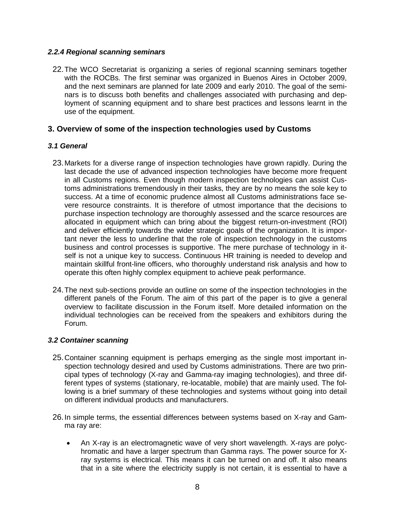#### <span id="page-7-0"></span>*2.2.4 Regional scanning seminars*

22.The WCO Secretariat is organizing a series of regional scanning seminars together with the ROCBs. The first seminar was organized in Buenos Aires in October 2009, and the next seminars are planned for late 2009 and early 2010. The goal of the seminars is to discuss both benefits and challenges associated with purchasing and deployment of scanning equipment and to share best practices and lessons learnt in the use of the equipment.

## <span id="page-7-1"></span>**3. Overview of some of the inspection technologies used by Customs**

## <span id="page-7-2"></span>*3.1 General*

- 23.Markets for a diverse range of inspection technologies have grown rapidly. During the last decade the use of advanced inspection technologies have become more frequent in all Customs regions. Even though modern inspection technologies can assist Customs administrations tremendously in their tasks, they are by no means the sole key to success. At a time of economic prudence almost all Customs administrations face severe resource constraints. It is therefore of utmost importance that the decisions to purchase inspection technology are thoroughly assessed and the scarce resources are allocated in equipment which can bring about the biggest return-on-investment (ROI) and deliver efficiently towards the wider strategic goals of the organization. It is important never the less to underline that the role of inspection technology in the customs business and control processes is supportive. The mere purchase of technology in itself is not a unique key to success. Continuous HR training is needed to develop and maintain skillful front-line officers, who thoroughly understand risk analysis and how to operate this often highly complex equipment to achieve peak performance.
- 24.The next sub-sections provide an outline on some of the inspection technologies in the different panels of the Forum. The aim of this part of the paper is to give a general overview to facilitate discussion in the Forum itself. More detailed information on the individual technologies can be received from the speakers and exhibitors during the Forum.

## <span id="page-7-3"></span>*3.2 Container scanning*

- 25.Container scanning equipment is perhaps emerging as the single most important inspection technology desired and used by Customs administrations. There are two principal types of technology (X-ray and Gamma-ray imaging technologies), and three different types of systems (stationary, re-locatable, mobile) that are mainly used. The following is a brief summary of these technologies and systems without going into detail on different individual products and manufacturers.
- 26.In simple terms, the essential differences between systems based on X-ray and Gamma ray are:
	- An X-ray is an electromagnetic wave of very short wavelength. X-rays are polychromatic and have a larger spectrum than Gamma rays. The power source for Xray systems is electrical. This means it can be turned on and off. It also means that in a site where the electricity supply is not certain, it is essential to have a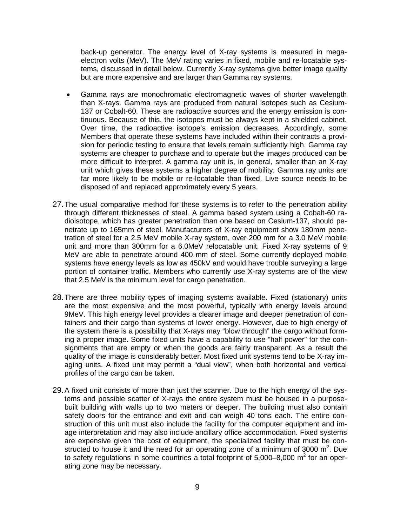back-up generator. The energy level of X-ray systems is measured in megaelectron volts (MeV). The MeV rating varies in fixed, mobile and re-locatable systems, discussed in detail below. Currently X-ray systems give better image quality but are more expensive and are larger than Gamma ray systems.

- Gamma rays are monochromatic electromagnetic waves of shorter wavelength than X-rays. Gamma rays are produced from natural isotopes such as Cesium-137 or Cobalt-60. These are radioactive sources and the energy emission is continuous. Because of this, the isotopes must be always kept in a shielded cabinet. Over time, the radioactive isotope's emission decreases. Accordingly, some Members that operate these systems have included within their contracts a provision for periodic testing to ensure that levels remain sufficiently high. Gamma ray systems are cheaper to purchase and to operate but the images produced can be more difficult to interpret. A gamma ray unit is, in general, smaller than an X-ray unit which gives these systems a higher degree of mobility. Gamma ray units are far more likely to be mobile or re-locatable than fixed. Live source needs to be disposed of and replaced approximately every 5 years.
- 27.The usual comparative method for these systems is to refer to the penetration ability through different thicknesses of steel. A gamma based system using a Cobalt-60 radioisotope, which has greater penetration than one based on Cesium-137, should penetrate up to 165mm of steel. Manufacturers of X-ray equipment show 180mm penetration of steel for a 2.5 MeV mobile X-ray system, over 200 mm for a 3.0 MeV mobile unit and more than 300mm for a 6.0MeV relocatable unit. Fixed X-ray systems of 9 MeV are able to penetrate around 400 mm of steel. Some currently deployed mobile systems have energy levels as low as 450kV and would have trouble surveying a large portion of container traffic. Members who currently use X-ray systems are of the view that 2.5 MeV is the minimum level for cargo penetration.
- 28.There are three mobility types of imaging systems available. Fixed (stationary) units are the most expensive and the most powerful, typically with energy levels around 9MeV. This high energy level provides a clearer image and deeper penetration of containers and their cargo than systems of lower energy. However, due to high energy of the system there is a possibility that X-rays may "blow through" the cargo without forming a proper image. Some fixed units have a capability to use "half power" for the consignments that are empty or when the goods are fairly transparent. As a result the quality of the image is considerably better. Most fixed unit systems tend to be X-ray imaging units. A fixed unit may permit a "dual view", when both horizontal and vertical profiles of the cargo can be taken.
- 29.A fixed unit consists of more than just the scanner. Due to the high energy of the systems and possible scatter of X-rays the entire system must be housed in a purposebuilt building with walls up to two meters or deeper. The building must also contain safety doors for the entrance and exit and can weigh 40 tons each. The entire construction of this unit must also include the facility for the computer equipment and image interpretation and may also include ancillary office accommodation. Fixed systems are expensive given the cost of equipment, the specialized facility that must be constructed to house it and the need for an operating zone of a minimum of 3000  $m^2$ . Due to safety regulations in some countries a total footprint of  $5.000-8.000$  m<sup>2</sup> for an operating zone may be necessary.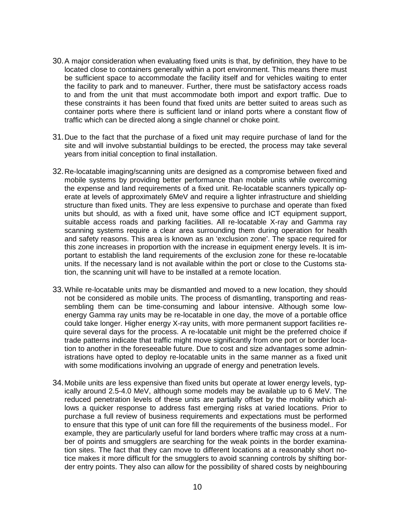- 30.A major consideration when evaluating fixed units is that, by definition, they have to be located close to containers generally within a port environment. This means there must be sufficient space to accommodate the facility itself and for vehicles waiting to enter the facility to park and to maneuver. Further, there must be satisfactory access roads to and from the unit that must accommodate both import and export traffic. Due to these constraints it has been found that fixed units are better suited to areas such as container ports where there is sufficient land or inland ports where a constant flow of traffic which can be directed along a single channel or choke point.
- 31.Due to the fact that the purchase of a fixed unit may require purchase of land for the site and will involve substantial buildings to be erected, the process may take several years from initial conception to final installation.
- 32.Re-locatable imaging/scanning units are designed as a compromise between fixed and mobile systems by providing better performance than mobile units while overcoming the expense and land requirements of a fixed unit. Re-locatable scanners typically operate at levels of approximately 6MeV and require a lighter infrastructure and shielding structure than fixed units. They are less expensive to purchase and operate than fixed units but should, as with a fixed unit, have some office and ICT equipment support, suitable access roads and parking facilities. All re-locatable X-ray and Gamma ray scanning systems require a clear area surrounding them during operation for health and safety reasons. This area is known as an 'exclusion zone'. The space required for this zone increases in proportion with the increase in equipment energy levels. It is important to establish the land requirements of the exclusion zone for these re-locatable units. If the necessary land is not available within the port or close to the Customs station, the scanning unit will have to be installed at a remote location.
- 33.While re-locatable units may be dismantled and moved to a new location, they should not be considered as mobile units. The process of dismantling, transporting and reassembling them can be time-consuming and labour intensive. Although some lowenergy Gamma ray units may be re-locatable in one day, the move of a portable office could take longer. Higher energy X-ray units, with more permanent support facilities require several days for the process. A re-locatable unit might be the preferred choice if trade patterns indicate that traffic might move significantly from one port or border location to another in the foreseeable future. Due to cost and size advantages some administrations have opted to deploy re-locatable units in the same manner as a fixed unit with some modifications involving an upgrade of energy and penetration levels.
- 34.Mobile units are less expensive than fixed units but operate at lower energy levels, typically around 2.5-4.0 MeV, although some models may be available up to 6 MeV. The reduced penetration levels of these units are partially offset by the mobility which allows a quicker response to address fast emerging risks at varied locations. Prior to purchase a full review of business requirements and expectations must be performed to ensure that this type of unit can fore fill the requirements of the business model.. For example, they are particularly useful for land borders where traffic may cross at a number of points and smugglers are searching for the weak points in the border examination sites. The fact that they can move to different locations at a reasonably short notice makes it more difficult for the smugglers to avoid scanning controls by shifting border entry points. They also can allow for the possibility of shared costs by neighbouring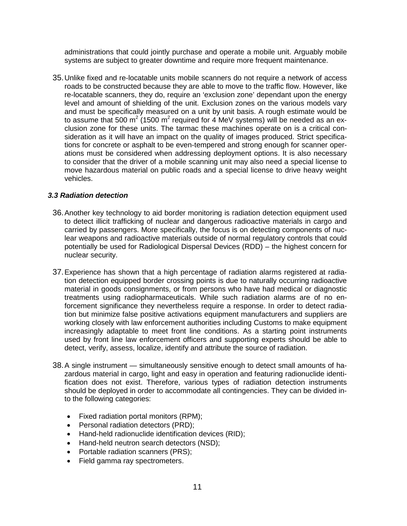administrations that could jointly purchase and operate a mobile unit. Arguably mobile systems are subject to greater downtime and require more frequent maintenance.

35.Unlike fixed and re-locatable units mobile scanners do not require a network of access roads to be constructed because they are able to move to the traffic flow. However, like re-locatable scanners, they do, require an 'exclusion zone' dependant upon the energy level and amount of shielding of the unit. Exclusion zones on the various models vary and must be specifically measured on a unit by unit basis. A rough estimate would be to assume that 500 m<sup>2</sup> (1500 m<sup>2</sup> required for 4 MeV systems) will be needed as an exclusion zone for these units. The tarmac these machines operate on is a critical consideration as it will have an impact on the quality of images produced. Strict specifications for concrete or asphalt to be even-tempered and strong enough for scanner operations must be considered when addressing deployment options. It is also necessary to consider that the driver of a mobile scanning unit may also need a special license to move hazardous material on public roads and a special license to drive heavy weight vehicles.

## <span id="page-10-0"></span>*3.3 Radiation detection*

- 36.Another key technology to aid border monitoring is radiation detection equipment used to detect illicit trafficking of nuclear and dangerous radioactive materials in cargo and carried by passengers. More specifically, the focus is on detecting components of nuclear weapons and radioactive materials outside of normal regulatory controls that could potentially be used for Radiological Dispersal Devices (RDD) – the highest concern for nuclear security.
- 37.Experience has shown that a high percentage of radiation alarms registered at radiation detection equipped border crossing points is due to naturally occurring radioactive material in goods consignments, or from persons who have had medical or diagnostic treatments using radiopharmaceuticals. While such radiation alarms are of no enforcement significance they nevertheless require a response. In order to detect radiation but minimize false positive activations equipment manufacturers and suppliers are working closely with law enforcement authorities including Customs to make equipment increasingly adaptable to meet front line conditions. As a starting point instruments used by front line law enforcement officers and supporting experts should be able to detect, verify, assess, localize, identify and attribute the source of radiation.
- 38.A single instrument simultaneously sensitive enough to detect small amounts of hazardous material in cargo, light and easy in operation and featuring radionuclide identification does not exist. Therefore, various types of radiation detection instruments should be deployed in order to accommodate all contingencies. They can be divided into the following categories:
	- Fixed radiation portal monitors (RPM);
	- Personal radiation detectors (PRD);
	- Hand-held radionuclide identification devices (RID);
	- Hand-held neutron search detectors (NSD);
	- Portable radiation scanners (PRS);
	- Field gamma ray spectrometers.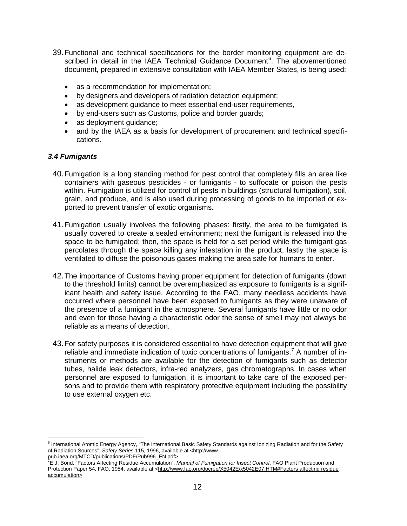- 39.Functional and technical specifications for the border monitoring equipment are de-scribed in detail in the IAEA Technical Guidance Document<sup>[6](#page-11-1)</sup>. The abovementioned document, prepared in extensive consultation with IAEA Member States, is being used:
	- as a recommendation for implementation;
	- by designers and developers of radiation detection equipment;
	- as development guidance to meet essential end-user requirements,
	- by end-users such as Customs, police and border guards;
	- as deployment quidance;
	- and by the IAEA as a basis for development of procurement and technical specifications.

## <span id="page-11-0"></span>*3.4 Fumigants*

- 40.Fumigation is a long standing method for [pest control](http://en.wikipedia.org/wiki/Pest_control) that completely fills an area like containers with gaseous [pesticides](http://en.wikipedia.org/wiki/Pesticide) - or fumigants - to suffocate or poison the pests within. Fumigation is utilized for control of pests in buildings (structural fumigation), soil, grain, and produce, and is also used during processing of goods to be imported or exported to prevent transfer of [exotic organisms.](http://en.wikipedia.org/wiki/Introduced_species)
- 41.Fumigation usually involves the following phases: firstly, the area to be fumigated is usually covered to create a sealed environment; next the fumigant is released into the space to be fumigated; then, the space is held for a set period while the fumigant gas percolates through the space killing any [infestation](http://en.wikipedia.org/w/index.php?title=Infestation&action=edit&redlink=1) in the product, lastly the space is ventilated to diffuse the [poisonous gases](http://en.wikipedia.org/wiki/Poison) making the area safe for humans to enter.
- 42.The importance of Customs having proper equipment for detection of fumigants (down to the threshold limits) cannot be overemphasized as exposure to fumigants is a significant health and safety issue. According to the FAO, many needless accidents have occurred where personnel have been exposed to fumigants as they were unaware of the presence of a fumigant in the atmosphere. Several fumigants have little or no odor and even for those having a characteristic odor the sense of smell may not always be reliable as a means of detection.
- 43.For safety purposes it is considered essential to have detection equipment that will give reliable and immediate indication of toxic concentrations of fumigants.<sup>[7](#page-11-2)</sup> A number of instruments or methods are available for the detection of fumigants such as detector tubes, halide leak detectors, infra-red analyzers, gas chromatographs. In cases when personnel are exposed to fumigation, it is important to take care of the exposed persons and to provide them with respiratory protective equipment including the possibility to use external oxygen etc.

<span id="page-11-1"></span><sup>&</sup>lt;sup>6</sup> International Atomic Energy Agency, "The International Basic Safety Standards against Ionizing Radiation and for the Safety of Radiation Sources", *Safety Series* 115, 1996, available at <http://www-

<span id="page-11-2"></span>pub.iaea.org/MTCD/publications/PDF/Pub996\_EN.pdf><br><sup>7</sup>E.J. Bond, "Factors Affecting Residue Accumulation", *Manual of Fumigation for Insect Control*, FAO Plant Production and Protection Paper 54, FAO, 1984, available at <http://www.fao.org/docrep/X5042E/x5042E07.HTM#Factors affecting residue accumulation>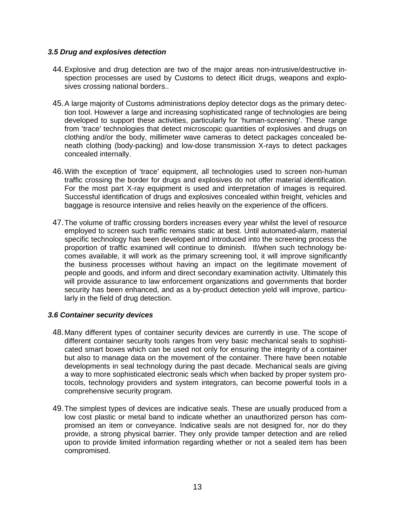#### <span id="page-12-0"></span>*3.5 Drug and explosives detection*

- 44.Explosive and drug detection are two of the major areas non-intrusive/destructive inspection processes are used by Customs to detect illicit drugs, weapons and explosives crossing national borders..
- 45.A large majority of Customs administrations deploy detector dogs as the primary detection tool. However a large and increasing sophisticated range of technologies are being developed to support these activities, particularly for 'human-screening'. These range from 'trace' technologies that detect microscopic quantities of explosives and drugs on clothing and/or the body, millimeter wave cameras to detect packages concealed beneath clothing (body-packing) and low-dose transmission X-rays to detect packages concealed internally.
- 46.With the exception of 'trace' equipment, all technologies used to screen non-human traffic crossing the border for drugs and explosives do not offer material identification. For the most part X-ray equipment is used and interpretation of images is required. Successful identification of drugs and explosives concealed within freight, vehicles and baggage is resource intensive and relies heavily on the experience of the officers.
- 47.The volume of traffic crossing borders increases every year whilst the level of resource employed to screen such traffic remains static at best. Until automated-alarm, material specific technology has been developed and introduced into the screening process the proportion of traffic examined will continue to diminish. If/when such technology becomes available, it will work as the primary screening tool, it will improve significantly the business processes without having an impact on the legitimate movement of people and goods, and inform and direct secondary examination activity. Ultimately this will provide assurance to law enforcement organizations and governments that border security has been enhanced, and as a by-product detection yield will improve, particularly in the field of drug detection.

## <span id="page-12-1"></span>*3.6 Container security devices*

- 48.Many different types of container security devices are currently in use. The scope of different container security tools ranges from very basic mechanical seals to sophisticated smart boxes which can be used not only for ensuring the integrity of a container but also to manage data on the movement of the container. There have been notable developments in seal technology during the past decade. Mechanical seals are giving a way to more sophisticated electronic seals which when backed by proper system protocols, technology providers and system integrators, can become powerful tools in a comprehensive security program.
- 49.The simplest types of devices are indicative seals. These are usually produced from a low cost plastic or metal band to indicate whether an unauthorized person has compromised an item or conveyance. Indicative seals are not designed for, nor do they provide, a strong physical barrier. They only provide tamper detection and are relied upon to provide limited information regarding whether or not a sealed item has been compromised.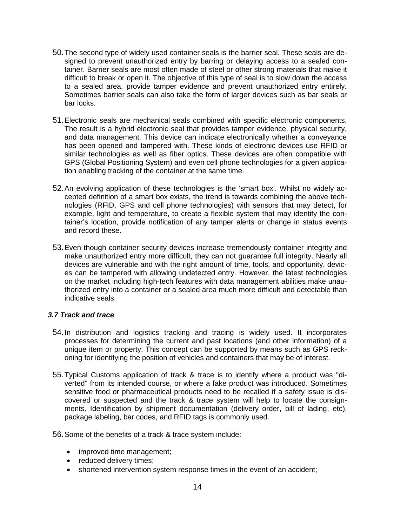- 50.The second type of widely used container seals is the barrier seal. These seals are designed to prevent unauthorized entry by barring or delaying access to a sealed container. Barrier seals are most often made of steel or other strong materials that make it difficult to break or open it. The objective of this type of seal is to slow down the access to a sealed area, provide tamper evidence and prevent unauthorized entry entirely. Sometimes barrier seals can also take the form of larger devices such as bar seals or bar locks.
- 51.Electronic seals are mechanical seals combined with specific electronic components. The result is a hybrid electronic seal that provides tamper evidence, physical security, and data management. This device can indicate electronically whether a conveyance has been opened and tampered with. These kinds of electronic devices use RFID or similar technologies as well as fiber optics. These devices are often compatible with GPS (Global Positioning System) and even cell phone technologies for a given application enabling tracking of the container at the same time.
- 52.An evolving application of these technologies is the 'smart box'. Whilst no widely accepted definition of a smart box exists, the trend is towards combining the above technologies (RFID, GPS and cell phone technologies) with sensors that may detect, for example, light and temperature, to create a flexible system that may identify the container's location, provide notification of any tamper alerts or change in status events and record these.
- 53.Even though container security devices increase tremendously container integrity and make unauthorized entry more difficult, they can not guarantee full integrity. Nearly all devices are vulnerable and with the right amount of time, tools, and opportunity, devices can be tampered with allowing undetected entry. However, the latest technologies on the market including high-tech features with data management abilities make unauthorized entry into a container or a sealed area much more difficult and detectable than indicative seals.

## <span id="page-13-0"></span>*3.7 Track and trace*

- 54.In distribution and [logistics](http://en.wikipedia.org/wiki/Logistics) [tracking](http://en.wikipedia.org/wiki/Tracking) and [tracing](http://en.wikipedia.org/wiki/Tracing) is widely used. It incorporates processes for determining the current and past locations (and other information) of a unique item or property. This concept can be supported by means such as GPS reckoning for identifying the position of vehicles and containers that may be of interest.
- 55.Typical Customs application of track & trace is to identify where a product was "diverted" from its intended course, or where a fake product was introduced. Sometimes sensitive food or pharmaceutical products need to be recalled if a safety issue is discovered or suspected and the track & trace system will help to locate the consignments. Identification by shipment documentation [\(delivery order,](http://en.wikipedia.org/wiki/Delivery_order) [bill of lading,](http://en.wikipedia.org/wiki/Bill_of_lading) etc), package [labeling,](http://en.wikipedia.org/wiki/Label) [bar codes,](http://en.wikipedia.org/wiki/Bar_code) and [RFID](http://en.wikipedia.org/wiki/RFID) tags is commonly used.

56.Some of the benefits of a track & trace system include:

- improved time management;
- reduced delivery times;
- shortened intervention system response times in the event of an accident;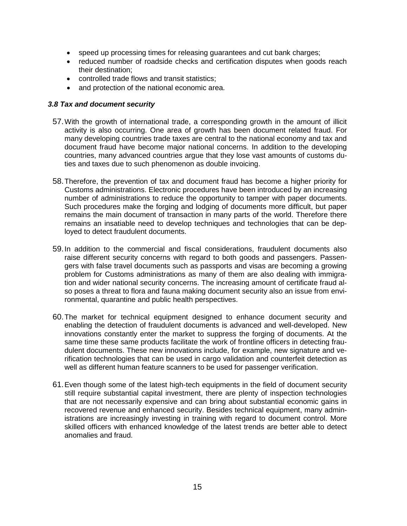- speed up processing times for releasing guarantees and cut bank charges;
- reduced number of roadside checks and certification disputes when goods reach their destination;
- controlled trade flows and transit statistics;
- and protection of the national economic area.

#### <span id="page-14-0"></span>*3.8 Tax and document security*

- 57.With the growth of international trade, a corresponding growth in the amount of illicit activity is also occurring. One area of growth has been document related fraud. For many developing countries trade taxes are central to the national economy and tax and document fraud have become major national concerns. In addition to the developing countries, many advanced countries argue that they lose vast amounts of customs duties and taxes due to such phenomenon as double invoicing.
- 58.Therefore, the prevention of tax and document fraud has become a higher priority for Customs administrations. Electronic procedures have been introduced by an increasing number of administrations to reduce the opportunity to tamper with paper documents. Such procedures make the forging and lodging of documents more difficult, but paper remains the main document of transaction in many parts of the world. Therefore there remains an insatiable need to develop techniques and technologies that can be deployed to detect fraudulent documents.
- 59.In addition to the commercial and fiscal considerations, fraudulent documents also raise different security concerns with regard to both goods and passengers. Passengers with false travel documents such as passports and visas are becoming a growing problem for Customs administrations as many of them are also dealing with immigration and wider national security concerns. The increasing amount of certificate fraud also poses a threat to flora and fauna making document security also an issue from environmental, quarantine and public health perspectives.
- 60.The market for technical equipment designed to enhance document security and enabling the detection of fraudulent documents is advanced and well-developed. New innovations constantly enter the market to suppress the forging of documents. At the same time these same products facilitate the work of frontline officers in detecting fraudulent documents. These new innovations include, for example, new signature and verification technologies that can be used in cargo validation and counterfeit detection as well as different human feature scanners to be used for passenger verification.
- 61.Even though some of the latest high-tech equipments in the field of document security still require substantial capital investment, there are plenty of inspection technologies that are not necessarily expensive and can bring about substantial economic gains in recovered revenue and enhanced security. Besides technical equipment, many administrations are increasingly investing in training with regard to document control. More skilled officers with enhanced knowledge of the latest trends are better able to detect anomalies and fraud.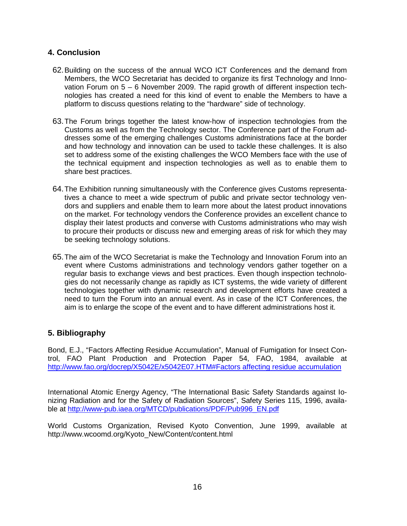# <span id="page-15-0"></span>**4. Conclusion**

- 62.Building on the success of the annual WCO ICT Conferences and the demand from Members, the WCO Secretariat has decided to organize its first Technology and Innovation Forum on 5 – 6 November 2009. The rapid growth of different inspection technologies has created a need for this kind of event to enable the Members to have a platform to discuss questions relating to the "hardware" side of technology.
- 63.The Forum brings together the latest know-how of inspection technologies from the Customs as well as from the Technology sector. The Conference part of the Forum addresses some of the emerging challenges Customs administrations face at the border and how technology and innovation can be used to tackle these challenges. It is also set to address some of the existing challenges the WCO Members face with the use of the technical equipment and inspection technologies as well as to enable them to share best practices.
- 64.The Exhibition running simultaneously with the Conference gives Customs representatives a chance to meet a wide spectrum of public and private sector technology vendors and suppliers and enable them to learn more about the latest product innovations on the market. For technology vendors the Conference provides an excellent chance to display their latest products and converse with Customs administrations who may wish to procure their products or discuss new and emerging areas of risk for which they may be seeking technology solutions.
- 65.The aim of the WCO Secretariat is make the Technology and Innovation Forum into an event where Customs administrations and technology vendors gather together on a regular basis to exchange views and best practices. Even though inspection technologies do not necessarily change as rapidly as ICT systems, the wide variety of different technologies together with dynamic research and development efforts have created a need to turn the Forum into an annual event. As in case of the ICT Conferences, the aim is to enlarge the scope of the event and to have different administrations host it.

# <span id="page-15-1"></span>**5. Bibliography**

Bond, E.J., "Factors Affecting Residue Accumulation", Manual of Fumigation for Insect Control, FAO Plant Production and Protection Paper 54, FAO, 1984, available at <http://www.fao.org/docrep/X5042E/x5042E07.HTM#Factors affecting residue accumulation>

International Atomic Energy Agency, "The International Basic Safety Standards against Ionizing Radiation and for the Safety of Radiation Sources", Safety Series 115, 1996, available at [http://www-pub.iaea.org/MTCD/publications/PDF/Pub996\\_EN.pdf](http://www-pub.iaea.org/MTCD/publications/PDF/Pub996_EN.pdf)

World Customs Organization, Revised Kyoto Convention, June 1999, available at http://www.wcoomd.org/Kyoto\_New/Content/content.html